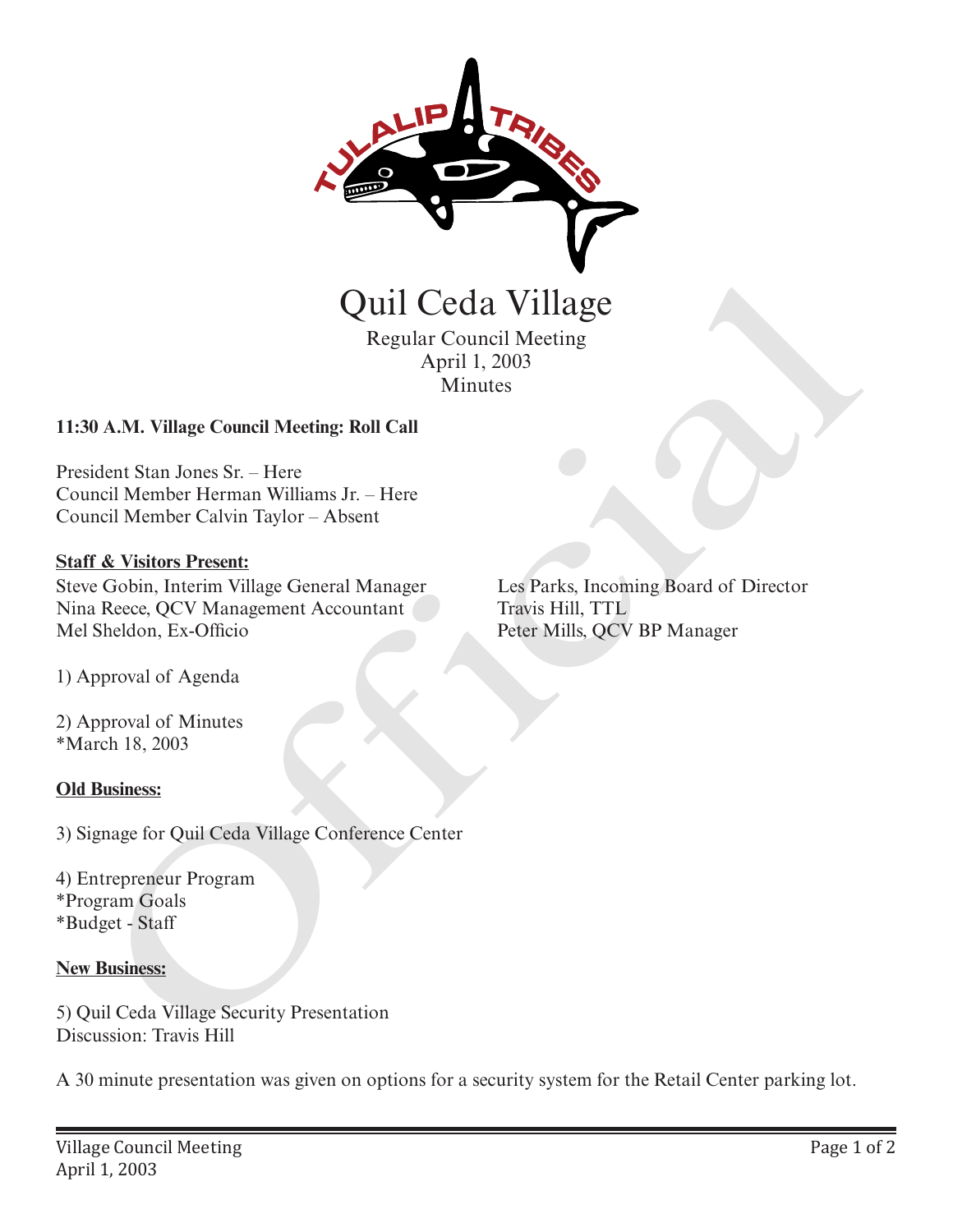

Regular Council Meeting April 1, 2003 Minutes

## **11:30 A.M. Village Council Meeting: Roll Call**

President Stan Jones Sr. – Here Council Member Herman Williams Jr. – Here Council Member Calvin Taylor – Absent

## **Staff & Visitors Present:**

Steve Gobin, Interim Village General Manager Nina Reece, QCV Management Accountant Mel Sheldon, Ex-Officio Quil Ceda Village<br>
Regular Council Meeting<br>
April 1, 2003<br>
Minutes<br>
April 1, 2003<br>
Minutes<br>
April 1, 2003<br>
Minutes<br>
AM. Village Council Meeting: Roll Call<br>
dent Stan Jones Sr. – Here<br>
rec (Now Present Calvin Taylor – Absen

1) Approval of Agenda

2) Approval of Minutes \*March 18, 2003

## **Old Business:**

3) Signage for Quil Ceda Village Conference Center

4) Entrepreneur Program \*Program Goals \*Budget - Staff

## **New Business:**

5) Quil Ceda Village Security Presentation Discussion: Travis Hill

A 30 minute presentation was given on options for a security system for the Retail Center parking lot.

Les Parks, Incoming Board of Director Travis Hill, TTL Peter Mills, QCV BP Manager